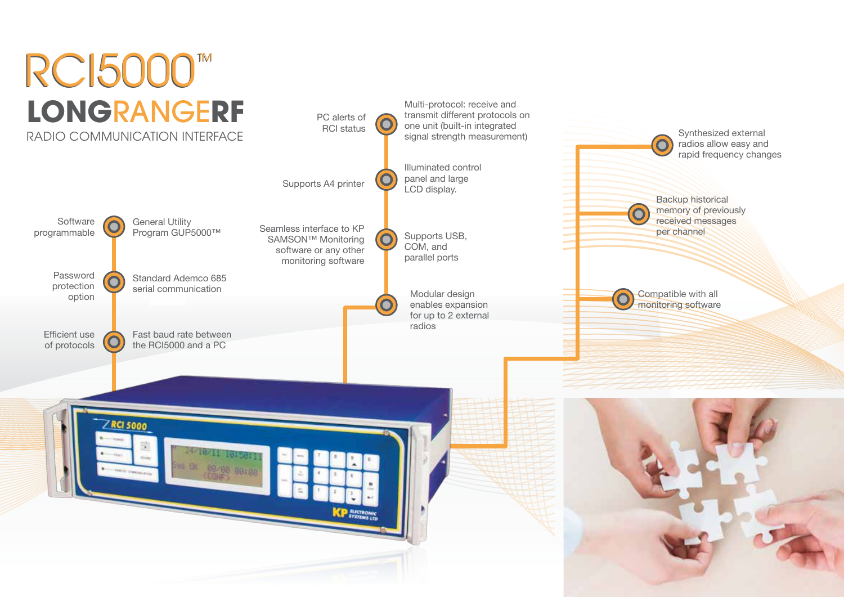# **LONG**RANGE**RF RCI5000™**



Backup historical memory of previously received messages